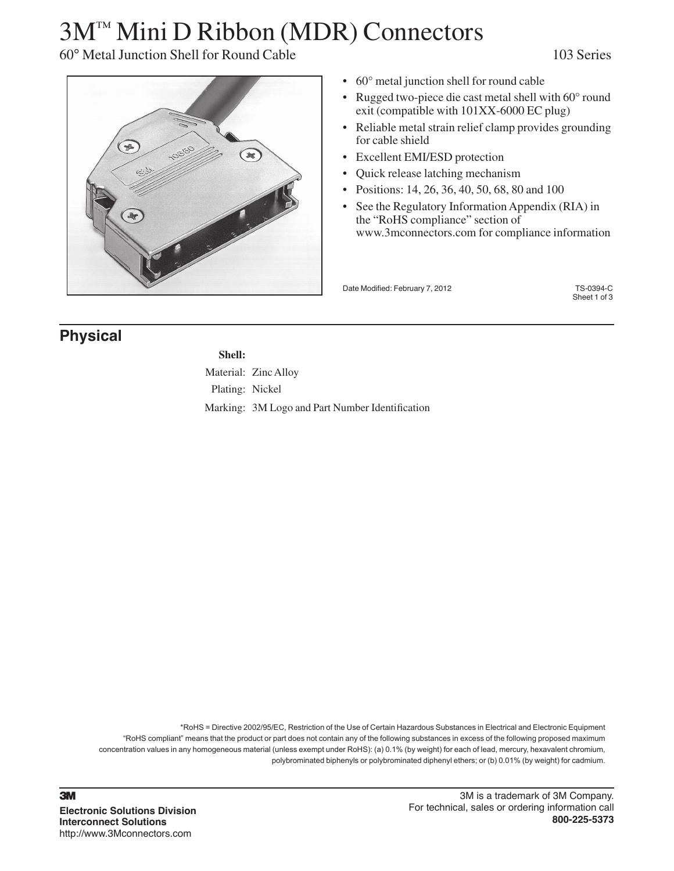# 3M™ Mini D Ribbon (MDR) Connectors

### 60° Metal Junction Shell for Round Cable 103 Series



- $60^\circ$  metal junction shell for round cable
- Rugged two-piece die cast metal shell with  $60^{\circ}$  round exit (compatible with 101XX-6000 EC plug)
- Reliable metal strain relief clamp provides grounding for cable shield
- • Excellent EMI/ESD protection
- • Quick release latching mechanism
- Positions: 14, 26, 36, 40, 50, 68, 80 and 100
- See the Regulatory Information Appendix (RIA) in the "RoHS compliance" section of www.3mconnectors.com for compliance information

Date Modified: February 7, 2012 TS-0394-C

Sheet 1 of 3

### **Physical**

**Shell:** Material: Zinc Alloy Plating: Nickel Marking: 3M Logo and Part Number Identification

\*RoHS = Directive 2002/95/EC, Restriction of the Use of Certain Hazardous Substances in Electrical and Electronic Equipment "RoHS compliant" means that the product or part does not contain any of the following substances in excess of the following proposed maximum concentration values in any homogeneous material (unless exempt under RoHS): (a) 0.1% (by weight) for each of lead, mercury, hexavalent chromium, polybrominated biphenyls or polybrominated diphenyl ethers; or (b) 0.01% (by weight) for cadmium.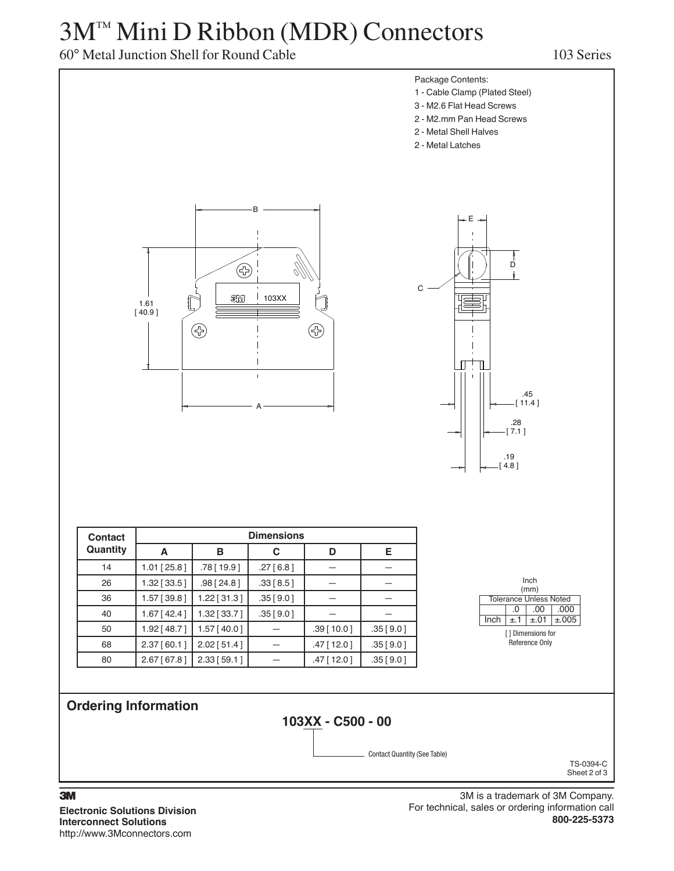## 3M™ Mini D Ribbon (MDR) Connectors

### 60° Metal Junction Shell for Round Cable 103 Series



**Electronic Solutions Division Interconnect Solutions** http://www.3Mconnectors.com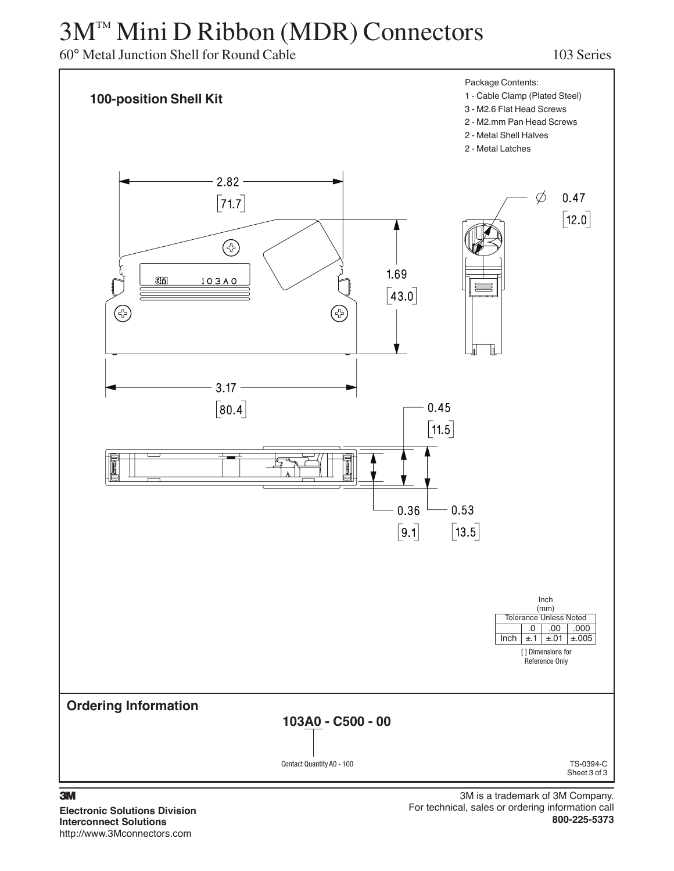# 3M™ Mini D Ribbon (MDR) Connectors

60° Metal Junction Shell for Round Cable 103 Series



#### 3

**Electronic Solutions Division Interconnect Solutions** http://www.3Mconnectors.com